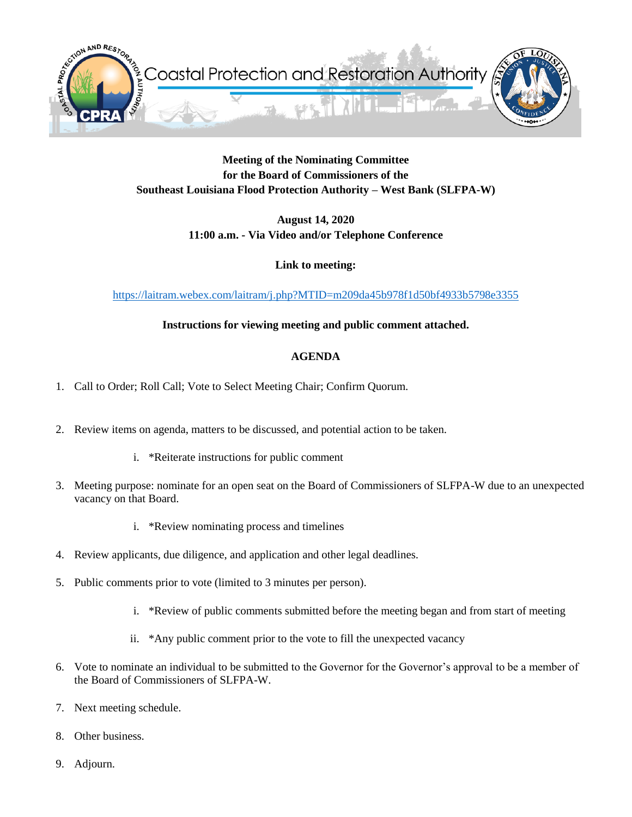

### **Meeting of the Nominating Committee for the Board of Commissioners of the Southeast Louisiana Flood Protection Authority – West Bank (SLFPA-W)**

**August 14, 2020 11:00 a.m. - Via Video and/or Telephone Conference**

**Link to meeting:** 

<https://laitram.webex.com/laitram/j.php?MTID=m209da45b978f1d50bf4933b5798e3355>

# **Instructions for viewing meeting and public comment attached.**

# **AGENDA**

- 1. Call to Order; Roll Call; Vote to Select Meeting Chair; Confirm Quorum.
- 2. Review items on agenda, matters to be discussed, and potential action to be taken.
	- i. \*Reiterate instructions for public comment
- 3. Meeting purpose: nominate for an open seat on the Board of Commissioners of SLFPA-W due to an unexpected vacancy on that Board.
	- i. \*Review nominating process and timelines
- 4. Review applicants, due diligence, and application and other legal deadlines.
- 5. Public comments prior to vote (limited to 3 minutes per person).
	- i. \*Review of public comments submitted before the meeting began and from start of meeting
	- ii. \*Any public comment prior to the vote to fill the unexpected vacancy
- 6. Vote to nominate an individual to be submitted to the Governor for the Governor's approval to be a member of the Board of Commissioners of SLFPA-W.
- 7. Next meeting schedule.
- 8. Other business.
- 9. Adjourn.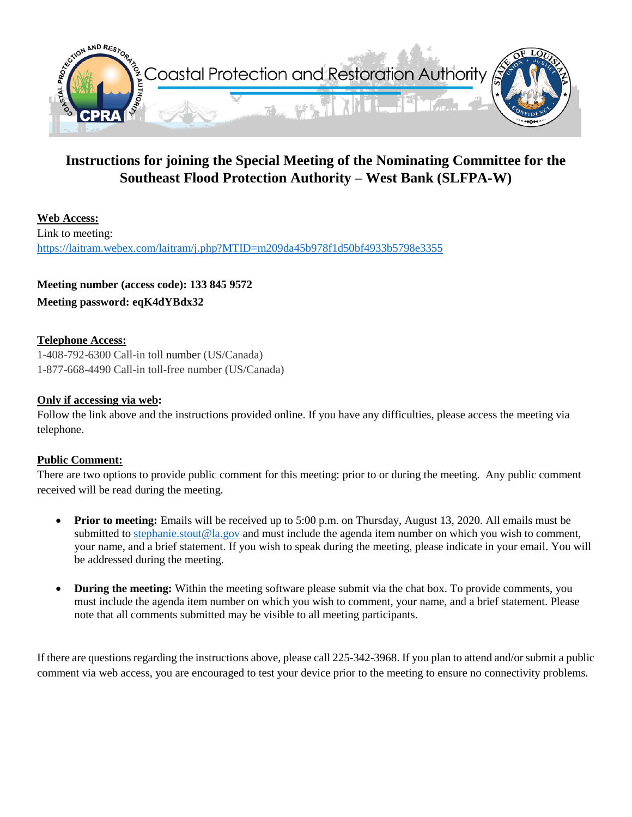

# **Instructions for joining the Special Meeting of the Nominating Committee for the Southeast Flood Protection Authority – West Bank (SLFPA-W)**

**Web Access:** Link to meeting: <https://laitram.webex.com/laitram/j.php?MTID=m209da45b978f1d50bf4933b5798e3355>

**Meeting number (access code): 133 845 9572 Meeting password: eqK4dYBdx32**

#### **Telephone Access:**

1-408-792-6300 Call-in toll number (US/Canada) 1-877-668-4490 Call-in toll-free number (US/Canada)

#### **Only if accessing via web:**

Follow the link above and the instructions provided online. If you have any difficulties, please access the meeting via telephone.

#### **Public Comment:**

There are two options to provide public comment for this meeting: prior to or during the meeting. Any public comment received will be read during the meeting.

- **Prior to meeting:** Emails will be received up to 5:00 p.m. on Thursday, August 13, 2020. All emails must be submitted to [stephanie.stout@la.gov](mailto:stephanie.stout@la.gov) and must include the agenda item number on which you wish to comment, your name, and a brief statement. If you wish to speak during the meeting, please indicate in your email. You will be addressed during the meeting.
- **During the meeting:** Within the meeting software please submit via the chat box. To provide comments, you must include the agenda item number on which you wish to comment, your name, and a brief statement. Please note that all comments submitted may be visible to all meeting participants.

If there are questions regarding the instructions above, please call 225-342-3968. If you plan to attend and/or submit a public comment via web access, you are encouraged to test your device prior to the meeting to ensure no connectivity problems.